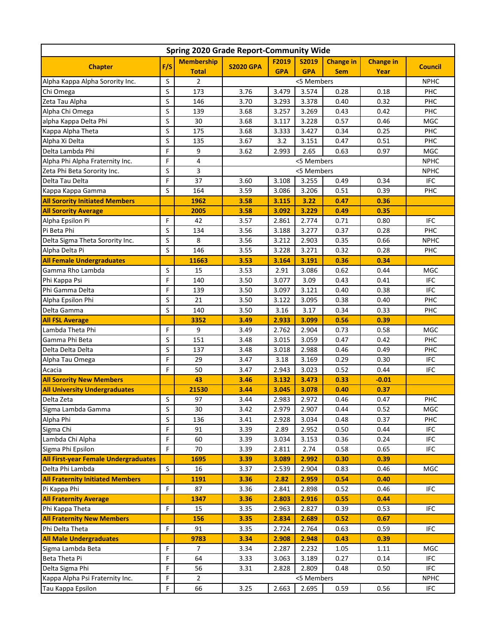| Spring 2020 Grade Report-Community Wide     |         |                   |                  |             |              |                  |                  |                |  |  |  |
|---------------------------------------------|---------|-------------------|------------------|-------------|--------------|------------------|------------------|----------------|--|--|--|
| <b>Chapter</b>                              | F/S     | <b>Membership</b> | <b>S2020 GPA</b> | F2019       | <b>S2019</b> | <b>Change in</b> | <b>Change in</b> | <b>Council</b> |  |  |  |
|                                             |         | <b>Total</b>      |                  | <b>GPA</b>  | <b>GPA</b>   | <b>Sem</b>       | Year             |                |  |  |  |
| Alpha Kappa Alpha Sorority Inc.             | S       | $\overline{2}$    |                  | <b>NPHC</b> |              |                  |                  |                |  |  |  |
| Chi Omega                                   | S       | 173               | 3.76             | 3.479       | 3.574        | 0.28             | 0.18             | <b>PHC</b>     |  |  |  |
| Zeta Tau Alpha                              | S       | 146               | 3.70             | 3.293       | 3.378        | 0.40             | 0.32             | PHC            |  |  |  |
| Alpha Chi Omega                             | S       | 139               | 3.68             | 3.257       | 3.269        | 0.43             | 0.42             | PHC            |  |  |  |
| alpha Kappa Delta Phi                       | S       | 30                | 3.68             | 3.117       | 3.228        | 0.57             | 0.46             | <b>MGC</b>     |  |  |  |
| Kappa Alpha Theta                           | S       | 175               | 3.68             | 3.333       | 3.427        | 0.34             | 0.25             | PHC            |  |  |  |
| Alpha Xi Delta                              | S       | 135               | 3.67             | 3.2         | 3.151        | 0.47             | 0.51             | PHC            |  |  |  |
| Delta Lambda Phi                            | F       | 9                 | 3.62             | 2.993       | 2.65         | 0.63             | 0.97             | <b>MGC</b>     |  |  |  |
| Alpha Phi Alpha Fraternity Inc.             | F       | 4                 |                  | <b>NPHC</b> |              |                  |                  |                |  |  |  |
| Zeta Phi Beta Sorority Inc.                 | S       | 3                 |                  | <b>NPHC</b> |              |                  |                  |                |  |  |  |
| Delta Tau Delta                             | F       | 37                | 3.60             | 3.108       | 3.255        | 0.49             | 0.34             | <b>IFC</b>     |  |  |  |
| Kappa Kappa Gamma                           | S       | 164               | 3.59             | 3.086       | 3.206        | 0.51             | 0.39             | PHC            |  |  |  |
| <b>All Sorority Initiated Members</b>       |         | 1962              | 3.58             | 3.115       | 3.22         | 0.47             | 0.36             |                |  |  |  |
| <b>All Sorority Average</b>                 |         | 2005              | 3.58             | 3.092       | 3.229        | 0.49             | 0.35             |                |  |  |  |
| Alpha Epsilon Pi                            | F       | 42                | 3.57             | 2.861       | 2.774        | 0.71             | 0.80             | IFC            |  |  |  |
| Pi Beta Phi                                 | S       | 134               | 3.56             | 3.188       | 3.277        | 0.37             | 0.28             | PHC            |  |  |  |
| Delta Sigma Theta Sorority Inc.             | S       | 8                 | 3.56             | 3.212       | 2.903        | 0.35             | 0.66             | <b>NPHC</b>    |  |  |  |
| Alpha Delta Pi                              | S       | 146               | 3.55             | 3.228       | 3.271        | 0.32             | 0.28             | PHC            |  |  |  |
| <b>All Female Undergraduates</b>            |         | 11663             | 3.53             | 3.164       | 3.191        | 0.36             | 0.34             |                |  |  |  |
| Gamma Rho Lambda                            | S       | 15                | 3.53             | 2.91        | 3.086        | 0.62             | 0.44             | <b>MGC</b>     |  |  |  |
| Phi Kappa Psi                               | F       | 140               | 3.50             | 3.077       | 3.09         | 0.43             | 0.41             | <b>IFC</b>     |  |  |  |
| Phi Gamma Delta                             | F       | 139               | 3.50             | 3.097       | 3.121        | 0.40             | 0.38             | <b>IFC</b>     |  |  |  |
| Alpha Epsilon Phi                           | S       | 21                | 3.50             | 3.122       | 3.095        | 0.38             | 0.40             | PHC            |  |  |  |
| Delta Gamma                                 | S       | 140               | 3.50             | 3.16        | 3.17         | 0.34             | 0.33             | PHC            |  |  |  |
| <b>All FSL Average</b>                      |         | 3352              | 3.49             | 2.933       | 3.099        | 0.56             | 0.39             |                |  |  |  |
| Lambda Theta Phi                            | F       | 9                 | 3.49             | 2.762       | 2.904        | 0.73             | 0.58             | MGC            |  |  |  |
| Gamma Phi Beta                              | S       | 151               | 3.48             | 3.015       | 3.059        | 0.47             | 0.42             | <b>PHC</b>     |  |  |  |
| Delta Delta Delta                           | S       | 137               | 3.48             | 3.018       | 2.988        | 0.46             | 0.49             | PHC            |  |  |  |
| Alpha Tau Omega                             | F       | 29                | 3.47             | 3.18        | 3.169        | 0.29             | 0.30             | <b>IFC</b>     |  |  |  |
| Acacia                                      | F       | 50                | 3.47             | 2.943       | 3.023        | 0.52             | 0.44             | <b>IFC</b>     |  |  |  |
| <b>All Sorority New Members</b>             |         | 43                | 3.46             | 3.132       | 3.473        | 0.33             | $-0.01$          |                |  |  |  |
| <b>All University Undergraduates</b>        |         | 21530             | 3.44             | 3.045       | 3.078        | 0.40             | 0.37             |                |  |  |  |
| Delta Zeta                                  | S       | 97                | 3.44             | 2.983       | 2.972        | 0.46             | 0.47             | <b>PHC</b>     |  |  |  |
| Sigma Lambda Gamma                          | S       | 30                | 3.42             | 2.979       | 2.907        | 0.44             | 0.52             | MGC            |  |  |  |
| Alpha Phi                                   | S       | 136               | 3.41             | 2.928       | 3.034        | 0.48             | 0.37             | PHC            |  |  |  |
| Sigma Chi                                   | F       | 91                | 3.39             | 2.89        | 2.952        | 0.50             | 0.44             | <b>IFC</b>     |  |  |  |
| Lambda Chi Alpha                            | F       | 60                | 3.39             | 3.034       | 3.153        | 0.36             | 0.24             | <b>IFC</b>     |  |  |  |
| Sigma Phi Epsilon                           | F       | 70                | 3.39             | 2.811       | 2.74         | 0.58             | 0.65             | IFC            |  |  |  |
| <b>All First-year Female Undergraduates</b> |         | 1695              | 3.39             | 3.089       | 2.992        | 0.30             | 0.39             |                |  |  |  |
| Delta Phi Lambda                            | $\sf S$ | 16                | 3.37             | 2.539       | 2.904        | 0.83             | 0.46             | MGC            |  |  |  |
| <b>All Fraternity Initiated Members</b>     |         | 1191              | 3.36             | 2.82        | 2.959        | 0.54             | 0.40             |                |  |  |  |
| Pi Kappa Phi                                | F       | 87                | 3.36             | 2.841       | 2.898        | 0.52             | 0.46             | <b>IFC</b>     |  |  |  |
| <b>All Fraternity Average</b>               |         | 1347              | 3.36             | 2.803       | 2.916        | 0.55             | 0.44             |                |  |  |  |
| Phi Kappa Theta                             | F       | 15                | 3.35             | 2.963       | 2.827        | 0.39             | 0.53             | <b>IFC</b>     |  |  |  |
| <b>All Fraternity New Members</b>           |         | 156               | 3.35             | 2.834       | 2.689        | 0.52             | 0.67             |                |  |  |  |
| Phi Delta Theta                             | F       | 91                | 3.35             | 2.724       | 2.764        | 0.63             | 0.59             | <b>IFC</b>     |  |  |  |
| <b>All Male Undergraduates</b>              |         | 9783              | 3.34             | 2.908       | 2.948        | 0.43             | 0.39             |                |  |  |  |
| Sigma Lambda Beta                           | F       | $\overline{7}$    | 3.34             | 2.287       | 2.232        | 1.05             | 1.11             | MGC            |  |  |  |
| Beta Theta Pi                               | F       | 64                | 3.33             | 3.063       | 3.189        | 0.27             | 0.14             | <b>IFC</b>     |  |  |  |
| Delta Sigma Phi                             | F       | 56                | 3.31             | 2.828       | 2.809        | 0.48             | 0.50             | <b>IFC</b>     |  |  |  |
| Kappa Alpha Psi Fraternity Inc.             | F       | $\overline{2}$    |                  |             | <5 Members   |                  |                  | <b>NPHC</b>    |  |  |  |
| Tau Kappa Epsilon                           | F       | 66                | 3.25             | 2.663       | 2.695        | 0.59             | 0.56             | IFC            |  |  |  |